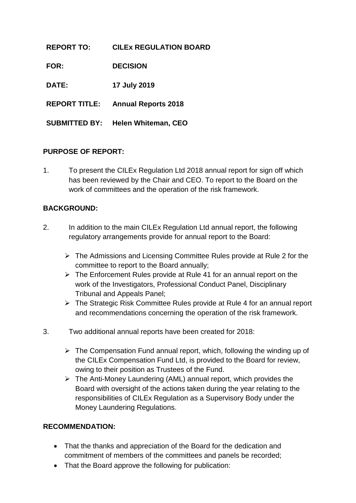| <b>REPORT TO:</b>    | <b>CILEX REGULATION BOARD</b> |
|----------------------|-------------------------------|
| <b>FOR:</b>          | <b>DECISION</b>               |
| <b>DATE:</b>         | 17 July 2019                  |
| <b>REPORT TITLE:</b> | <b>Annual Reports 2018</b>    |
|                      |                               |

**SUBMITTED BY: Helen Whiteman, CEO**

## **PURPOSE OF REPORT:**

1. To present the CILEx Regulation Ltd 2018 annual report for sign off which has been reviewed by the Chair and CEO. To report to the Board on the work of committees and the operation of the risk framework.

## **BACKGROUND:**

- 2. In addition to the main CILEx Regulation Ltd annual report, the following regulatory arrangements provide for annual report to the Board:
	- $\triangleright$  The Admissions and Licensing Committee Rules provide at Rule 2 for the committee to report to the Board annually;
	- $\triangleright$  The Enforcement Rules provide at Rule 41 for an annual report on the work of the Investigators, Professional Conduct Panel, Disciplinary Tribunal and Appeals Panel;
	- The Strategic Risk Committee Rules provide at Rule 4 for an annual report and recommendations concerning the operation of the risk framework.
- 3. Two additional annual reports have been created for 2018:
	- $\triangleright$  The Compensation Fund annual report, which, following the winding up of the CILEx Compensation Fund Ltd, is provided to the Board for review, owing to their position as Trustees of the Fund.
	- $\triangleright$  The Anti-Money Laundering (AML) annual report, which provides the Board with oversight of the actions taken during the year relating to the responsibilities of CILEx Regulation as a Supervisory Body under the Money Laundering Regulations.

## **RECOMMENDATION:**

- That the thanks and appreciation of the Board for the dedication and commitment of members of the committees and panels be recorded;
- That the Board approve the following for publication: